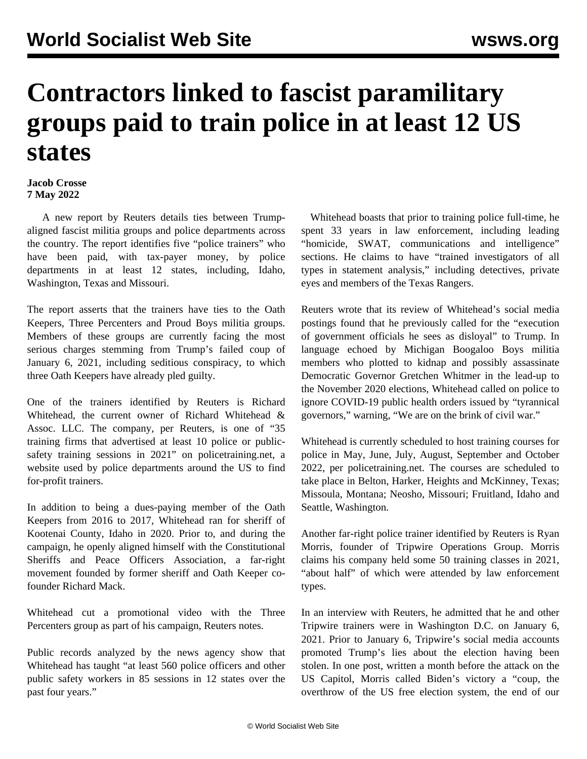## **Contractors linked to fascist paramilitary groups paid to train police in at least 12 US states**

## **Jacob Crosse 7 May 2022**

 A new report by Reuters details ties between Trumpaligned fascist militia groups and police departments across the country. The report identifies five "police trainers" who have been paid, with tax-payer money, by police departments in at least 12 states, including, Idaho, Washington, Texas and Missouri.

The report asserts that the trainers have ties to the Oath Keepers, Three Percenters and Proud Boys militia groups. Members of these groups are currently facing the most serious charges stemming from Trump's failed coup of January 6, 2021, including seditious conspiracy, to which three Oath Keepers have already pled guilty.

One of the trainers identified by Reuters is Richard Whitehead, the current owner of Richard Whitehead & Assoc. LLC. The company, per Reuters, is one of "35 training firms that advertised at least 10 police or publicsafety training sessions in 2021" on policetraining.net, a website used by police departments around the US to find for-profit trainers.

In addition to being a dues-paying member of the Oath Keepers from 2016 to 2017, Whitehead ran for sheriff of Kootenai County, Idaho in 2020. Prior to, and during the campaign, he openly aligned himself with the Constitutional Sheriffs and Peace Officers Association, a far-right movement founded by former sheriff and Oath Keeper cofounder Richard Mack.

Whitehead cut a promotional video with the Three Percenters group as part of his campaign, Reuters notes.

Public records analyzed by the news agency show that Whitehead has taught "at least 560 police officers and other public safety workers in 85 sessions in 12 states over the past four years."

 Whitehead boasts that prior to training police full-time, he spent 33 years in law enforcement, including leading "homicide, SWAT, communications and intelligence" sections. He claims to have "trained investigators of all types in statement analysis," including detectives, private eyes and members of the Texas Rangers.

Reuters wrote that its review of Whitehead's social media postings found that he previously called for the "execution of government officials he sees as disloyal" to Trump. In language echoed by Michigan Boogaloo Boys militia members who plotted to kidnap and possibly assassinate Democratic Governor [Gretchen Whitmer](/en/articles/2022/04/11/whit-a11.html) in the lead-up to the November 2020 elections, Whitehead called on police to ignore COVID-19 public health orders issued by "tyrannical governors," warning, "We are on the brink of civil war."

Whitehead is currently scheduled to host training courses for police in May, June, July, August, September and October 2022, per policetraining.net. The courses are scheduled to take place in Belton, Harker, Heights and McKinney, Texas; Missoula, Montana; Neosho, Missouri; Fruitland, Idaho and Seattle, Washington.

Another far-right police trainer identified by Reuters is Ryan Morris, founder of Tripwire Operations Group. Morris claims his company held some 50 training classes in 2021, "about half" of which were attended by law enforcement types.

In an interview with Reuters, he admitted that he and other Tripwire trainers were in Washington D.C. on January 6, 2021. Prior to January 6, Tripwire's social media accounts promoted Trump's lies about the election having been stolen. In one post, written a month before the attack on the US Capitol, Morris called Biden's victory a "coup, the overthrow of the US free election system, the end of our